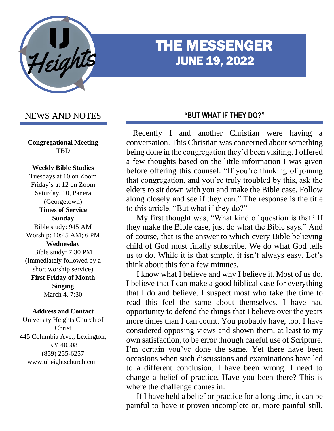

# THE MESSENGER JUNE 19, 2022

# NEWS AND NOTES

**Congregational Meeting TBD** 

#### **Weekly Bible Studies**

Tuesdays at 10 on Zoom Friday's at 12 on Zoom Saturday, 10, Panera (Georgetown) **Times of Service Sunday** Bible study: 945 AM Worship: 10:45 AM; 6 PM **Wednesday** Bible study: 7:30 PM (Immediately followed by a short worship service) **First Friday of Month Singing** March 4, 7:30

#### **Address and Contact**

University Heights Church of Christ 445 Columbia Ave., Lexington, KY 40508 (859) 255-6257 www.uheightschurch.com

#### **"BUT WHAT IF THEY DO?"**

 Recently I and another Christian were having a conversation. This Christian was concerned about something being done in the congregation they'd been visiting. I offered a few thoughts based on the little information I was given before offering this counsel. "If you're thinking of joining that congregation, and you're truly troubled by this, ask the elders to sit down with you and make the Bible case. Follow along closely and see if they can." The response is the title to this article. "But what if they do?"

 My first thought was, "What kind of question is that? If they make the Bible case, just do what the Bible says." And of course, that is the answer to which every Bible believing child of God must finally subscribe. We do what God tells us to do. While it is that simple, it isn't always easy. Let's think about this for a few minutes.

 I know what I believe and why I believe it. Most of us do. I believe that I can make a good biblical case for everything that I do and believe. I suspect most who take the time to read this feel the same about themselves. I have had opportunity to defend the things that I believe over the years more times than I can count. You probably have, too. I have considered opposing views and shown them, at least to my own satisfaction, to be error through careful use of Scripture. I'm certain you've done the same. Yet there have been occasions when such discussions and examinations have led to a different conclusion. I have been wrong. I need to change a belief of practice. Have you been there? This is where the challenge comes in.

 If I have held a belief or practice for a long time, it can be painful to have it proven incomplete or, more painful still,